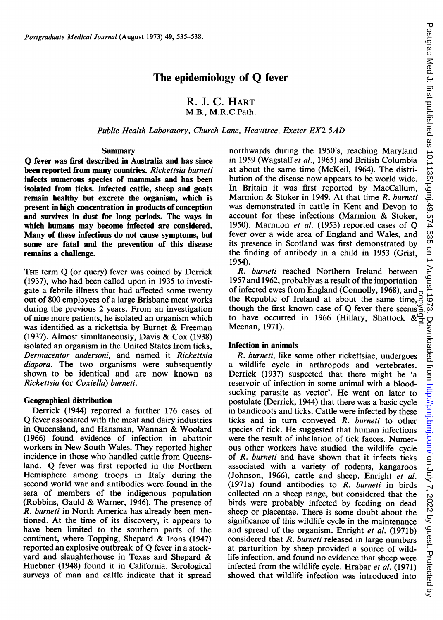# The epidemiology of Q fever

# R. J. C. HART M.B., M.R.C.Path.

Public Health Laboratory, Church Lane, Heavitree, Exeter EX2 5AD

#### Summary

Q fever was first described in Australia and has since been reported from many countries. Rickettsia burneti infects numerous species of mammals and has been isolated from ticks. Infected cattle, sheep and goats remain healthy but excrete the organism, which is present in high concentration in products of conception and survives in dust for long periods. The ways in which humans may become infected are considered. Many of these infections do not cause symptoms, but some are fatal and the prevention of this disease remains a challenge.

THE term Q (or query) fever was coined by Derrick (1937), who had been called upon in 1935 to investigate a febrile illness that had affected some twenty out of 800 employees of a large Brisbane meat works during the previous 2 years. From an investigation of nine more patients, he isolated an organism which was identified as <sup>a</sup> rickettsia by Burnet & Freeman (1937). Almost simultaneously, Davis & Cox (1938) isolated an organism in the United States from ticks, Dermacentor andersoni, and named it Rickettsia diapora. The two organisms were subsequently shown to be identical and are now known as Rickettsia (or Coxiella) burneti.

#### Geographical distribution

Derrick (1944) reported a further 176 cases of Q fever associated with the meat and dairy industries in Queensland, and Hansman, Wannan & Woolard (1966) found evidence of infection in abattoir workers in New South Wales. They reported higher incidence in those who handled cattle from Queensland. Q fever was first reported in the Northern Hemisphere among troops in Italy during the second world war and antibodies were found in the sera of members of the indigenous population (Robbins, Gauld & Warner, 1946). The presence of R. burneti in North America has already been mentioned. At the time of its discovery, it appears to have been limited to the southern parts of the continent, where Topping, Shepard & Irons (1947) reported an explosive outbreak of Q fever in <sup>a</sup> stockyard and slaughterhouse in Texas and Shepard & Huebner (1948) found it in California. Serological surveys of man and cattle indicate that it spread

northwards during the 1950's, reaching Maryland in 1959 (Wagstaff et al., 1965) and British Columbia at about the same time (McKeil, 1964). The distribution of the disease now appears to be world wide. In Britain it was first reported by MacCallum, Marmion & Stoker in 1949. At that time R, burneti was demonstrated in cattle in Kent and Devon to account for these infections (Marmion & Stoker, 1950). Marmion et al. (1953) reported cases of Q fever over a wide area of England and Wales, and its presence in Scotland was first demonstrated by the finding of antibody in a child in 1953 (Grist, 1954).

R. burneti reached Northern Ireland between 1957 and 1962, probably as a result of the importation of infected ewes from England (Connolly, 1968), and the Republic of Ireland at about the same time, though the first known case of Q fever there seems the Republic of Ireland at about the same time,  $\frac{1}{100}$ <br>though the first known case of Q fever there seems is<br>to have occurred in 1966 (Hillary, Shattock & Meenan, 1971).

#### Infection in animals

R. burneti, like some other rickettsiae, undergoes a wildlife cycle in arthropods and vertebrates. Derrick (1937) suspected that there might be 'a reservoir of infection in some animal with a bloodsucking parasite as vector'. He went on later to postulate (Derrick, 1944) that there was a basic cycle in bandicoots and ticks. Cattle were infected by these ticks and in turn conveyed R. burneti to other species of tick. He suggested that human infections were the result of inhalation of tick faeces. Numerous other workers have studied the wildlife cycle of R. burneti and have shown that it infects ticks associated with a variety of rodents, kangaroos (Johnson, 1966), cattle and sheep. Enright et al. (1971a) found antibodies to  $R$ . burneti in birds collected on a sheep range, but considered that the birds were probably infected by feeding on dead sheep or placentae. There is some doubt about the significance of this wildlife cycle in the maintenance and spread of the organism. Enright et al. (1971b) considered that R. burneti released in large numbers at parturition by sheep provided a source of wildlife infection, and found no evidence that sheep were infected from the wildlife cycle. Hrabar et al. (1971) showed that wildlife infection was introduced into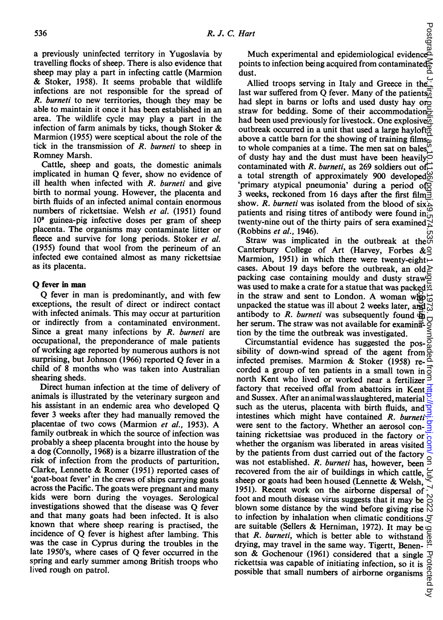a previously uninfected territory in Yugoslavia by travelling flocks of sheep. There is also evidence that sheep may play a part in infecting cattle (Marmion & Stoker, 1958). It seems probable that wildlife infections are not responsible for the spread of R. burneti to new territories, though they may be able to maintain it once it has been established in an area. The wildlife cycle may play a part in the infection of farm animals by ticks, though Stoker & Marmion (1955) were sceptical about the role of the tick in the transmission of R. burneti to sheep in Romney Marsh.

Cattle, sheep and goats, the domestic animals implicated in human Q fever, show no evidence of ill health when infected with  $R$ . burneti and give birth to normal young. However, the placenta and birth fluids of an infected animal contain enormous numbers of rickettsiae. Welsh et al. (1951) found 109 guinea-pig infective doses per gram of sheep placenta. The organisms may contaminate litter or fleece and survive for long periods. Stoker et al. (1955) found that wool from the perineum of an infected ewe contained almost as many rickettsiae as its placenta.

#### Q fever in man

Q fever in man is predominantly, and with few exceptions, the result of direct or indirect contact with infected animals. This may occur at parturition or indirectly from a contaminated environment. Since a great many infections by R. burneti are occupational, the preponderance of male patients of working age reported by numerous authors is not surprising, but Johnson (1966) reported Q fever in <sup>a</sup> child of 8 months who was taken into Australian shearing sheds.

Direct human infection at the time of delivery of animals is illustrated by the veterinary surgeon and his assistant in an endemic area who developed Q fever 3 weeks after they had manually removed the placentae of two cows (Marmion et al., 1953). A family outbreak in which the source of infection was probably a sheep placenta brought into the house by a dog (Connolly, 1968) is a bizarre illustration of the risk of infection from the products of parturition. Clarke, Lennette & Romer (1951) reported cases of 'goat-boat fever' in the crews of ships carrying goats across the Pacific. The goats were pregnant and many kids were born during the voyages. Serological investigations showed that the disease was Q fever and that many goats had been infected. It is also known that where sheep rearing is practised, the incidence of Q fever is highest after lambing. This was the case in Cyprus during the troubles in the late <sup>1950</sup>'s, where cases of Q fever occurred in the spring and early summer among British troops who lived rough on patrol.

Much experimental and epidemiological evidence<sup>r</sup> points to infection being acquired from contaminated dust.

Allied troops serving in Italy and Greece in the last war suffered from O fever. Many of the patients $\overline{a}$ had slept in barns or lofts and used dusty hay oro straw for bedding. Some of their accommodations had been used previously for livestock. One explosive@ outbreak occurred in a unit that used a large hayloft $\overline{\Phi}$ above a cattle barn for the showing of training films $\overline{\omega}$ to whole companies at a time. The men sat on bales of dusty hay and the dust must have been heavily contaminated with R. burneti, as 269 soldiers out of  $\overrightarrow{\triangle}$ a total strength of approximately 900 developed $\otimes$ 'primary atypical pneumonia' during a period of 3 weeks, reckoned from 16 days after the first film $\overline{\exists}$ show. R. burneti was isolated from the blood of  $six \rightarrow$ patients and rising titres of antibody were found in twenty-nine out of the thirty pairs of sera examined? (Robbins et al., 1946).

Straw was implicated in the outbreak at the  $\ddot{\text{o}}$ Canterbury College of Art (Harvey, Forbes & Marmion, 1951) in which there were twenty-eight $\overline{\phantom{a}}$ cases. About 19 days before the outbreak, an old  $\geq$ packing case containing mouldy and dusty straw was used to make a crate for a statue that was packed  $\overline{a}$ in the straw and sent to London. A woman who unpacked the statue was ill about 2 weeks later, and antibody to  $R$ . burneti was subsequently found  $\overline{qp}$ her serum. The straw was not available for examination by the time the outbreak was investigated. copyright.

Circumstantial evidence has suggested the possibility of down-wind spread of the agent from infected premises. Marmion & Stoker (1958) recorded a group of ten patients in a small town in north Kent who lived or worked near a fertilizer factory that received offal from abattoirs in Kent and Sussex. After an animal was slaughtered, material such as the uterus, placenta with birth fluids, and intestines which might have contained  $R$ . burneti were sent to the factory. Whether an aerosol containing rickettsiae was produced in the factory or whether the organism was liberated in areas visited by the patients from dust carried out of the factory was not established. R. burneti has, however, been recovered from the air of buildings in which cattle,  $\geq$ sheep or goats had been housed (Lennette & Welsh, 1951). Recent work on the airborne dispersal of foot and mouth disease virus suggests that it may be blown some distance by the wind before giving rise  $\overline{N}$ to infection by inhalation when climatic conditions  $\mathfrak S$ are suitable (Sellers & Herniman, 1972). It may be that R. burneti, which is better able to withstand  $\overline{\phi}$ drying, may travel in the same way. Tigertt, Benenson & Gochenour (1961) considered that a single  $\overline{C}$  rickettsia was capable of initiating infection, so it is  $\overline{G}$  possible that small numbers of airborne organisms  $\overline{G}$  and  $\overline{G}$ rickettsia was capable of initiating infection, so it is possible that small numbers of airborne organisms on July 7, 2022 by guest. Protected by <http://pmj.bmj.com/> Postgrad Med J: first published as 10.1136/pgmj.49.574.535 on 1 August 1973. Downloaded from

्ट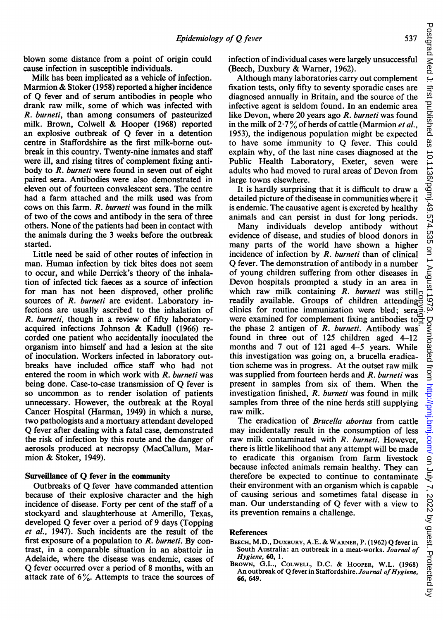blown some distance from a point of origin could cause infection in susceptible individuals.

Milk has been implicated as a vehicle of infection. Marmion & Stoker (1958) reported <sup>a</sup> higher incidence of Q fever and of serum antibodies in people who drank raw milk, some of which was infected with R. burneti, than among consumers of pasteurized milk. Brown, Colwell & Hooper (1968) reported an explosive outbreak of Q fever in <sup>a</sup> detention centre in Staffordshire as the first milk-borne outbreak in this country. Twenty-nine inmates and staff were ill, and rising titres of complement fixing antibody to R. burneti were found in seven out of eight paired sera. Antibodies were also demonstrated in eleven out of fourteen convalescent sera. The centre had a farm attached and the milk used was from cows on this farm. R. burneti was found in the milk of two of the cows and antibody in the sera of three others. None of the patients had been in contact with the animals during the 3 weeks before the outbreak started.

Little need be said of other routes of infection in man. Human infection by tick bites does not seem to occur, and while Derrick's theory of the inhalation of infected tick faeces as a source of infection for man has not been disproved, other prolific sources of R. burneti are evident. Laboratory infections are usually ascribed to the inhalation of R. burneti, though in a review of fifty laboratoryacquired infections Johnson & Kadull (1966) recorded one patient who accidentally inoculated the organism into himself and had a lesion at the site of inoculation. Workers infected in laboratory outbreaks have included office staff who had not entered the room in which work with R. burneti was being done. Case-to-case transmission of Q fever is so uncommon as to render isolation of patients unnecessary. However, the outbreak at the Royal Cancer Hospital (Harman, 1949) in which a nurse, two pathologists and a mortuary attendant developed Q fever after dealing with <sup>a</sup> fatal case, demonstrated the risk of infection by this route and the danger of aerosols produced at necropsy (MacCallum, Marmion & Stoker, 1949).

## Surveillance of Q fever in the community

Outbreaks of Q fever have commanded attention because of their explosive character and the high incidence of disease. Forty per cent of the staff of a stockyard and slaughterhouse at Amerillo, Texas, developed Q fever over <sup>a</sup> period of <sup>9</sup> days (Topping et al., 1947). Such incidents are the result of the first exposure of a population to  $R$ . burneti. By contrast, in a comparable situation in an abattoir in Adelaide, where the disease was endemic, cases of Q fever occurred over <sup>a</sup> period of <sup>8</sup> months, with an attack rate of  $6\%$ . Attempts to trace the sources of infection of individual cases were largely unsuccessful (Beech, Duxbury & Warner, 1962).

Although many laboratories carry out complement fixation tests, only fifty to seventy sporadic cases are diagnosed annually in Britain, and the source of the infective agent is seldom found. In an endemic area like Devon, where 20 years ago R. burneti was found in the milk of  $2.7\%$  of herds of cattle (Marmion *et al.*, 1953), the indigenous population might be expected to have some immunity to Q fever. This could explain why, of the last nine cases diagnosed at the Public Health Laboratory, Exeter, seven were adults who had moved to rural areas of Devon from large towns elsewhere.

It is hardly surprising that it is difficult to draw a detailed picture of the disease in communities where it is endemic. The causative agent is excreted by healthy animals and can persist in dust for long periods.

Many individuals develop antibody without evidence of disease, and studies of blood donors in many parts of the world have shown a higher incidence of infection by R. burneti than of clinical Q fever. The demonstration of antibody in <sup>a</sup> number of young children suffering from other diseases in Devon hospitals prompted a study in an area in which raw milk containing R. burneti was still readily available. Groups of children attending clinics for routine immunization were bled; sera were examined for complement fixing antibodies to  $\frac{1}{2}$ the phase 2 antigen of  $R$ . burneti. Antibody was found in three out of 125 children aged 4-12 months and 7 out of 121 aged 4-5 years. While this investigation was going on, a brucella eradication scheme was in progress. At the outset raw milk was supplied from fourteen herds and R. burneti was present in samples from six of them. When the investigation finished, R. burneti was found in milk samples from three of the nine herds still supplying raw milk. copyright.

The eradication of Brucella abortus from cattle may incidentally result in the consumption of less raw milk contaminated with R. burneti. However, there is little likelihood that any attempt will be made to eradicate this organism from farm livestock because infected animals remain healthy. They can therefore be expected to continue to contaminate their environment with an organism which is capable of causing serious and sometimes fatal disease in man. Our understanding of Q fever with <sup>a</sup> view to its prevention remains a challenge.

### References

- BEECH, M.D., DUXBURY, A.E. & WARNER, P. (1962) Q fever in South Australia: an outbreak in a meat-works. Journal of Hygiene, 60, 1.
- BROWN, G.L., COLWELL, D.C. & HOOPER, W.L. (1968) An outbreak of Q fever in Staffordshire. Journal of Hygiene, 66, 649.